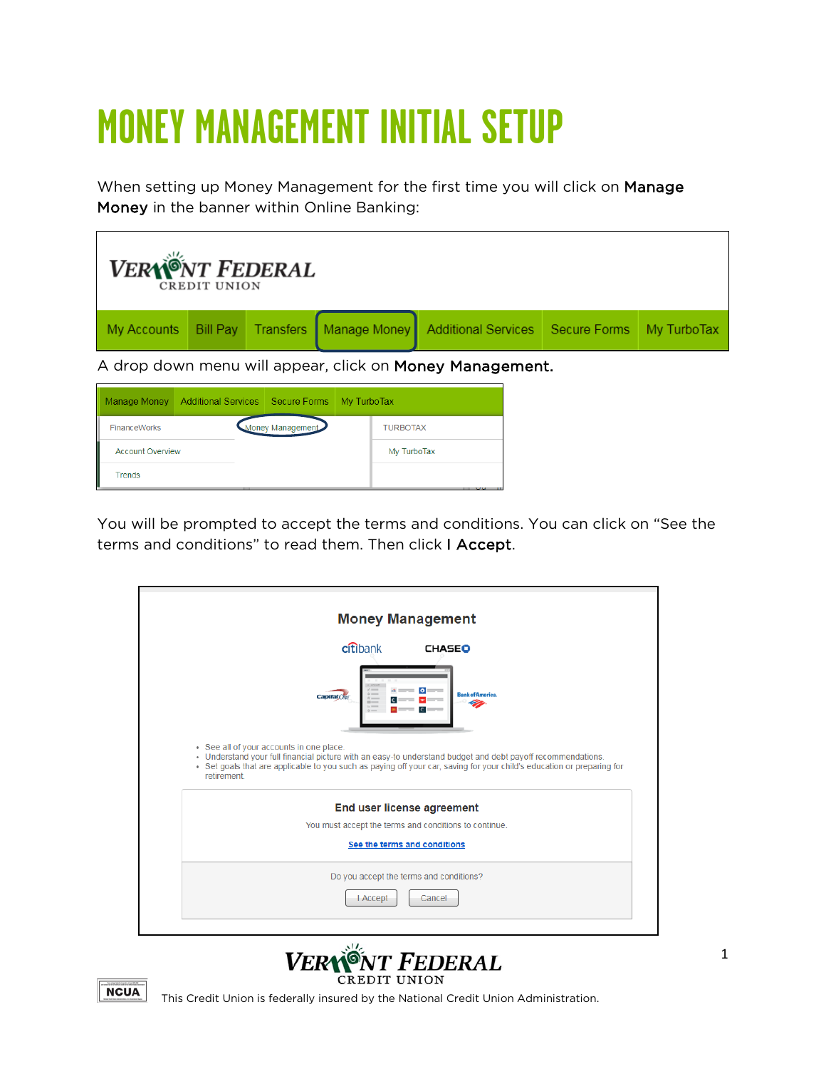# **MONEY MANAGEMENT INITIAL SETUP**

When setting up Money Management for the first time you will click on Manage Money in the banner within Online Banking:

| <b>VERYÖNT FEDERAL</b><br><b>CREDIT UNION</b>          |  |                                                                                                      |  |  |  |  |  |  |  |
|--------------------------------------------------------|--|------------------------------------------------------------------------------------------------------|--|--|--|--|--|--|--|
|                                                        |  | My Accounts   Bill Pay   Transfers   Manage Money   Additional Services   Secure Forms   My TurboTax |  |  |  |  |  |  |  |
| A drap dawn mapu will appear oliok op Meney Menegenest |  |                                                                                                      |  |  |  |  |  |  |  |

A drop down menu will appear, click on Money Management.

| Manage Money            | Additional Services Secure Forms My TurboTax |                  |  |                 |  |  |
|-------------------------|----------------------------------------------|------------------|--|-----------------|--|--|
| <b>FinanceWorks</b>     |                                              | Money Management |  | <b>TURBOTAX</b> |  |  |
| <b>Account Overview</b> |                                              |                  |  | My TurboTax     |  |  |
| Trends                  |                                              |                  |  |                 |  |  |

You will be prompted to accept the terms and conditions. You can click on "See the terms and conditions" to read them. Then click I Accept.





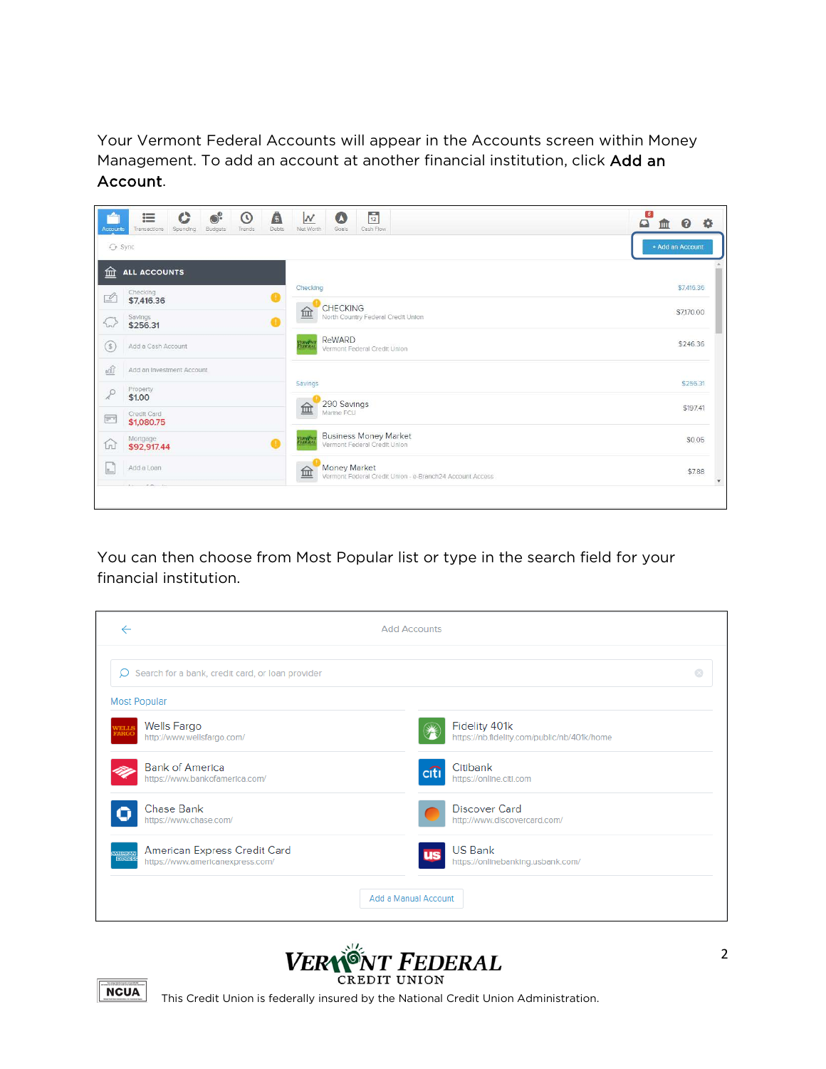Your Vermont Federal Accounts will appear in the Accounts screen within Money Management. To add an account at another financial institution, click Add an Account.



You can then choose from Most Popular list or type in the search field for your financial institution.





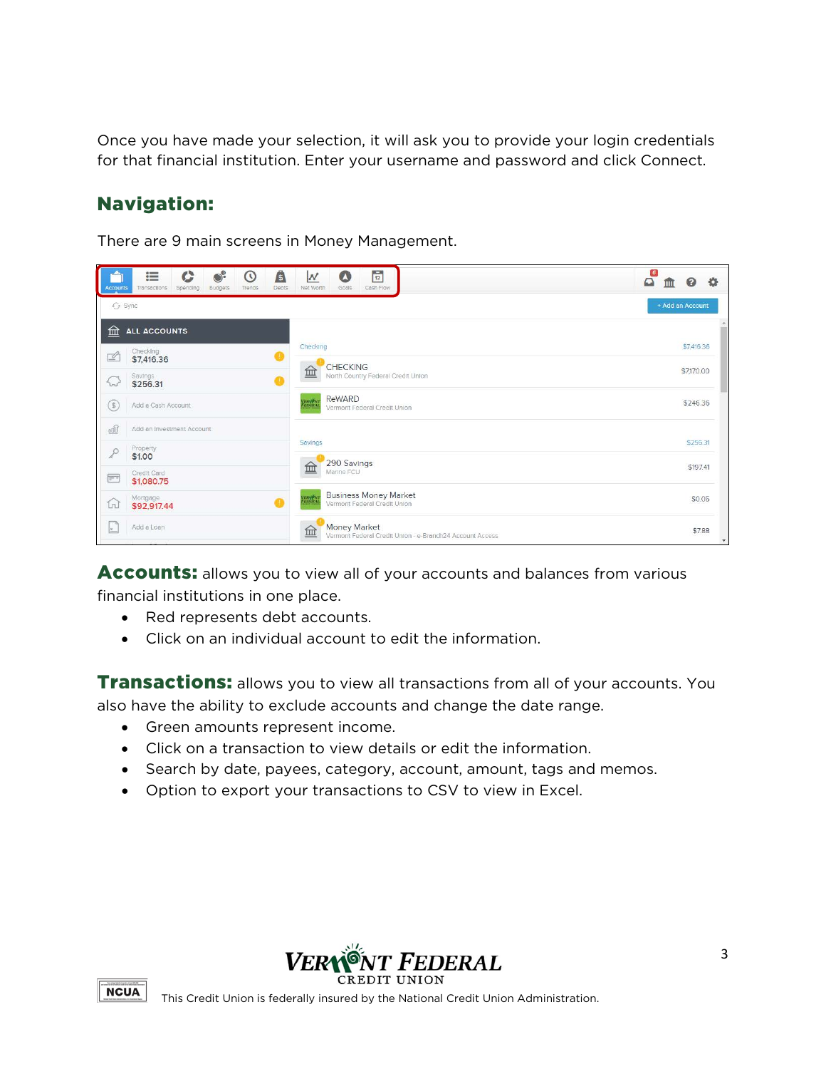Once you have made your selection, it will ask you to provide your login credentials for that financial institution. Enter your username and password and click Connect.

## Navigation:

There are 9 main screens in Money Management.



**Accounts:** allows you to view all of your accounts and balances from various financial institutions in one place.

- Red represents debt accounts.
- Click on an individual account to edit the information.

Transactions: allows you to view all transactions from all of your accounts. You also have the ability to exclude accounts and change the date range.

- Green amounts represent income.
- Click on a transaction to view details or edit the information.
- Search by date, payees, category, account, amount, tags and memos.
- Option to export your transactions to CSV to view in Excel.



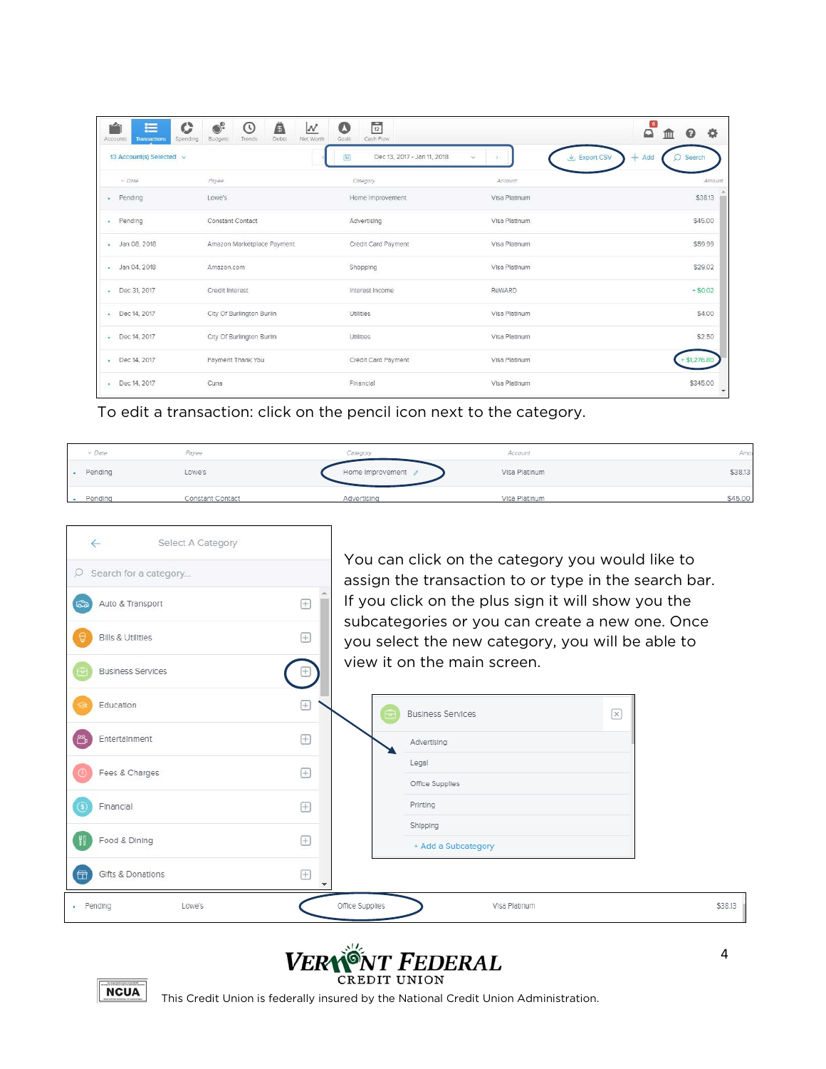| O<br>éi<br>這<br>Spending<br>Accounts<br>Transactions | $\odot^\circ$<br>Â<br>⊙<br>N<br>Net Worth<br>Budgets<br>Debts<br>Trends | $\frac{1}{12}$<br>$\alpha$<br>Cash Flow<br>Goals                           |                          | $\boxed{6}$<br>春<br>$\Omega$<br>ଵ |
|------------------------------------------------------|-------------------------------------------------------------------------|----------------------------------------------------------------------------|--------------------------|-----------------------------------|
| 13 Account(s) Selected v                             |                                                                         | Dec 13, 2017 - Jan 11, 2018<br>$\left[\frac{1}{12}\right]$<br>$\checkmark$ | $\frac{1}{2}$ Export CSV | Add<br>Search<br>÷                |
| U Date                                               | Payee                                                                   | Category                                                                   | Account                  | Amount                            |
| Pending<br>61                                        | Lowe's                                                                  | Home Improvement                                                           | Visa Platinum            | \$38.13                           |
| · Pending                                            | Constant Contact                                                        | Advertising                                                                | Visa Platinum            | \$45.00                           |
| · Jan 08, 2018                                       | Amazon Marketplace Payment                                              | Credit Card Payment                                                        | Visa Platinum            | \$59.99                           |
| Jan 04, 2018                                         | Amazon.com                                                              | Shopping                                                                   | Visa Platinum            | \$29.02                           |
| Dec 31, 2017                                         | Credit interest                                                         | Interest Income                                                            | ReWARD                   | $+ $0.02$                         |
| Dec 14, 2017                                         | City Of Burlington Burlin                                               | Utilities                                                                  | Visa Platinum            | \$4.00                            |
| Dec 14, 2017                                         | City Of Burlington Burlin                                               | Utilities                                                                  | Visa Platinum            | \$2.50                            |
| Dec 14, 2017                                         | Payment Thank You                                                       | Credit Card Payment                                                        | Visa Platinum            | \$1,276.8                         |
| Dec 14, 2017                                         | Cuna                                                                    | Financial                                                                  | Visa Platinum            | \$345.00<br>$\mathbf{v}$          |

To edit a transaction: click on the pencil icon next to the category.

| $\vee$ Date | Payee            | Category           | Account       | Amot    |
|-------------|------------------|--------------------|---------------|---------|
| Pendina     | Lowe's           | Home Improvement / | Visa Platinum | \$38.13 |
| Pending     | Constant Contact | Advertising        | Visa Platinum | \$45.00 |





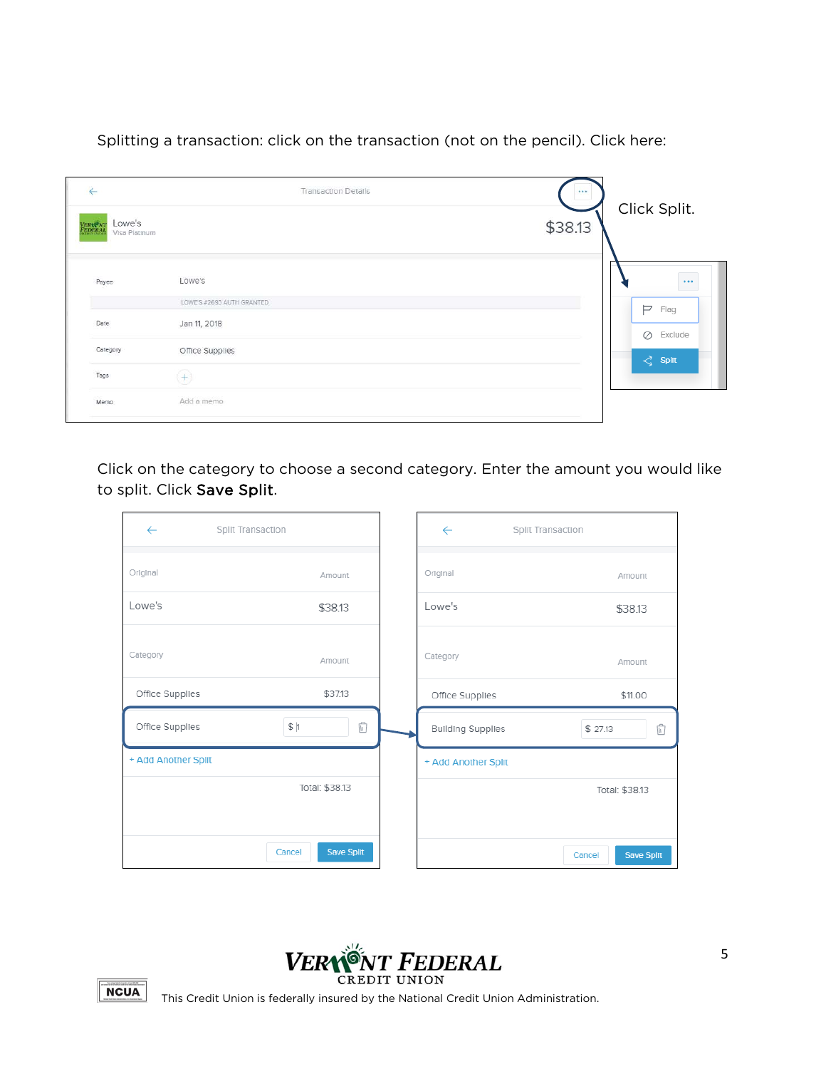Splitting a transaction: click on the transaction (not on the pencil). Click here:

| $\leftarrow$                                         | <b>Transaction Details</b> |                         |
|------------------------------------------------------|----------------------------|-------------------------|
| Lowe's<br><b>VERWANT</b><br>FEDERAL<br>Visa Platinum |                            | Click Split.<br>\$38.13 |
| Payee                                                | Lowe's                     | $\cdots$                |
|                                                      | LOWE'S #2693 AUTH GRANTED  | P<br>Flag               |
| Date                                                 | Jan 11, 2018               | $\oslash$ Exclude       |
| Category                                             | Office Supplies            | $\leq$ Split            |
| Tags                                                 | $(+)$                      |                         |
| Memo                                                 | Add a memo                 |                         |

Click on the category to choose a second category. Enter the amount you would like to split. Click Save Split.

| $\leftarrow$        | Split Transaction                  | $\leftarrow$             | Split Transaction    |
|---------------------|------------------------------------|--------------------------|----------------------|
| Original            | Amount                             | Original                 | Amount               |
| Lowe's              | \$38.13                            | Lowe's                   | \$38.13              |
| Category            | Amount                             | Category                 | Amount               |
| Office Supplies     | \$37.13                            | Office Supplies          | \$11.00              |
| Office Supplies     | $\overline{\mathbb{b}}$<br>$\,\,\$ | <b>Building Supplies</b> | û<br>\$27.13         |
| + Add Another Split |                                    | + Add Another Split      |                      |
|                     | Total: \$38.13                     |                          | Total: \$38.13       |
|                     |                                    |                          |                      |
|                     | <b>Save Split</b><br>Cancel        |                          | Save Split<br>Cancel |



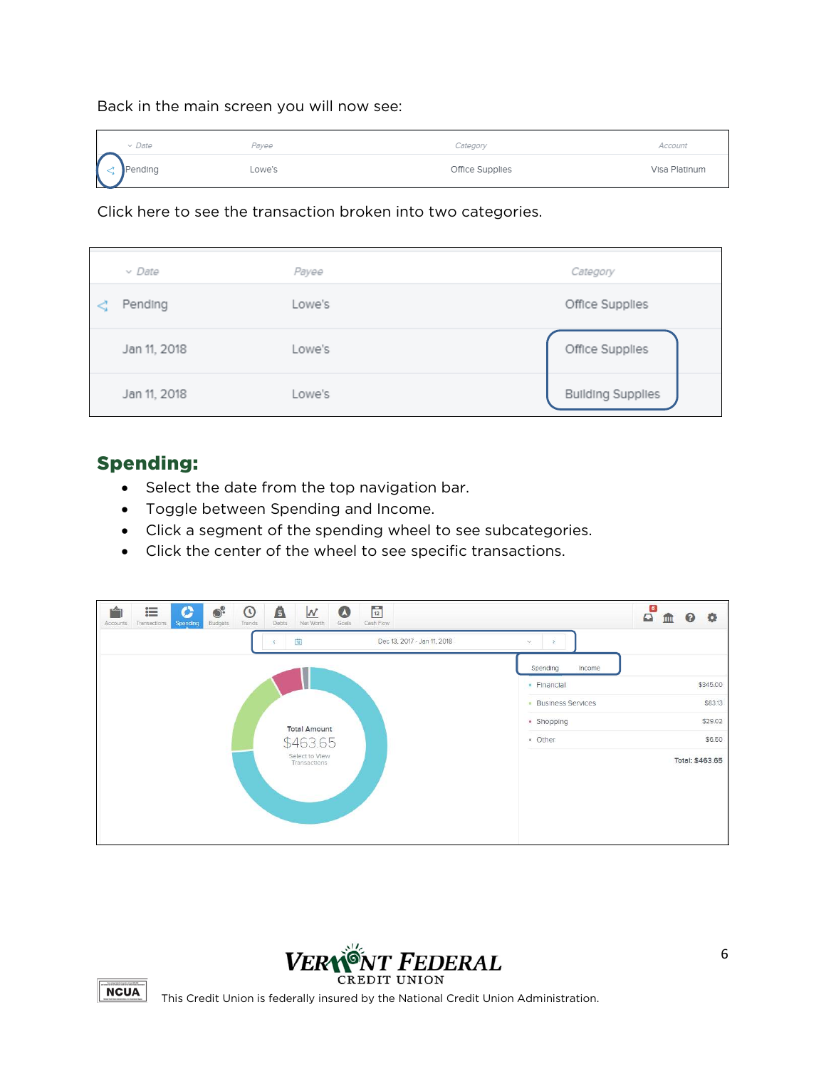Back in the main screen you will now see:

| $\vee$ Date           | Payee  | Category        | Account       |
|-----------------------|--------|-----------------|---------------|
| $\Bigodot$<br>Pending | Lowe's | Office Supplies | Visa Platinum |

Click here to see the transaction broken into two categories.

| $\vee$ Date  | Payee  | Category                 |
|--------------|--------|--------------------------|
| Pending      | Lowe's | Office Supplies          |
| Jan 11, 2018 | Lowe's | Office Supplies          |
| Jan 11, 2018 | Lowe's | <b>Building Supplies</b> |

### Spending:

- Select the date from the top navigation bar.
- Toggle between Spending and Income.
- Click a segment of the spending wheel to see subcategories.
- Click the center of the wheel to see specific transactions.

| $\bullet^{\circ}$<br>Â<br>$\frac{6}{12}$<br>這<br><b>CALL</b><br>$\odot$<br>N<br>c<br>$\bullet$<br>Budgets<br>Cash Flow<br>Debts<br>Net Worth<br>Goals<br>Trends<br><b>Accounts</b><br>Transactions<br>Spending |                     | 6)<br>$\Omega$<br>۰<br>$\bullet$<br>ΠI |
|----------------------------------------------------------------------------------------------------------------------------------------------------------------------------------------------------------------|---------------------|----------------------------------------|
| $\left\lceil \frac{1}{12} \right\rceil$<br>Dec 13, 2017 - Jan 11, 2018                                                                                                                                         | $\infty$            |                                        |
|                                                                                                                                                                                                                | Spending<br>Income  |                                        |
|                                                                                                                                                                                                                | · Financial         | \$345.00                               |
|                                                                                                                                                                                                                | • Business Services | \$83.13                                |
| <b>Total Amount</b>                                                                                                                                                                                            | · Shopping          | \$29.02                                |
| \$463.65                                                                                                                                                                                                       | · Other             | \$6.50                                 |
| Select to View<br>Transactions                                                                                                                                                                                 |                     | Total: \$463.65                        |



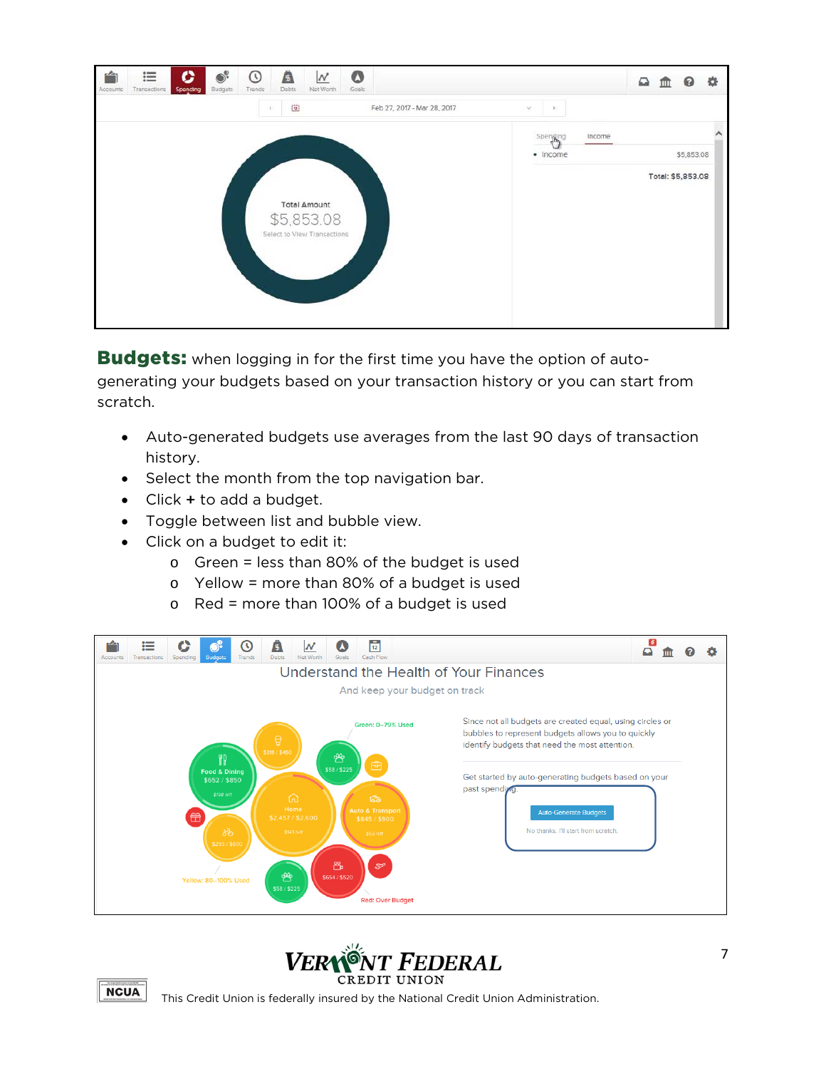

**Budgets:** when logging in for the first time you have the option of autogenerating your budgets based on your transaction history or you can start from scratch.

- Auto-generated budgets use averages from the last 90 days of transaction history.
- Select the month from the top navigation bar.
- Click + to add a budget.
- Toggle between list and bubble view.
- Click on a budget to edit it:
	- o Green = less than 80% of the budget is used
	- o Yellow = more than 80% of a budget is used
	- o Red = more than 100% of a budget is used





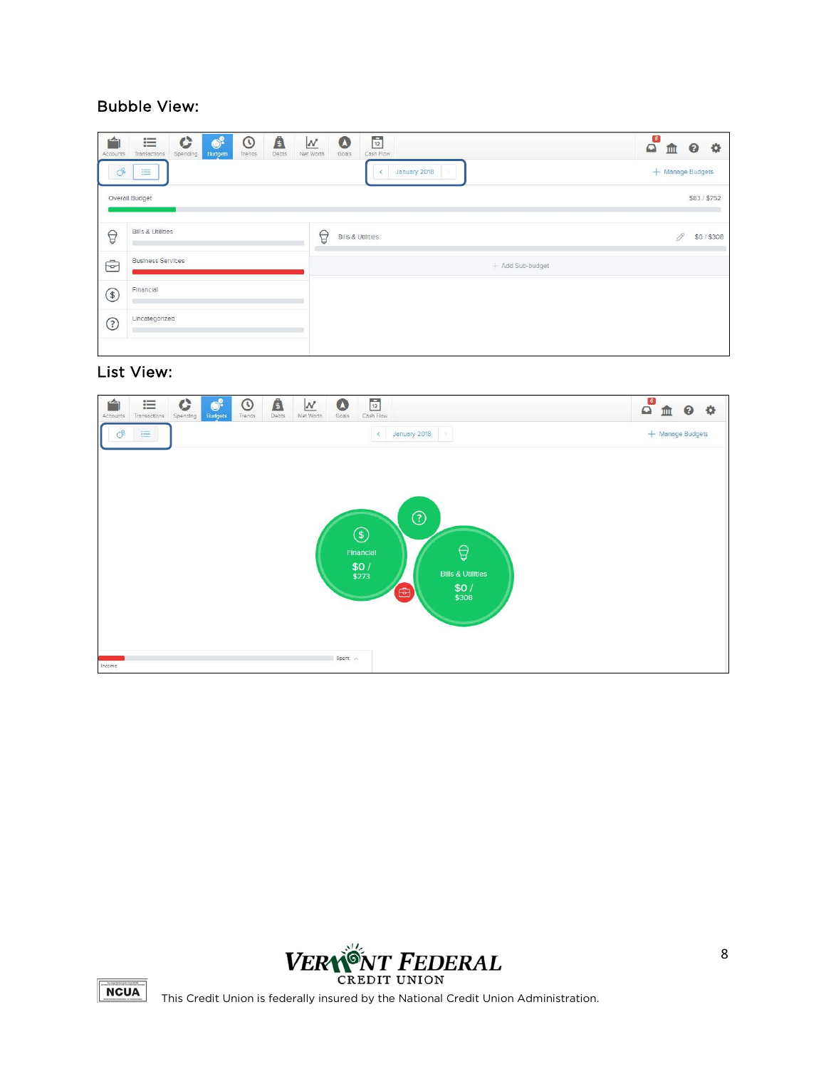#### Bubble View:

| $\rightarrow$<br>Accounts | $\mathbf C$<br>這<br>Transactions<br>Spending | $\bullet^{\circ}$<br><b>Budgets</b> | $\odot$<br>Trends | Â<br>Debts | $\boldsymbol{\mathcal{N}}$<br>Net Worth | $\bullet$<br>Goals | $\overline{12}$<br>Cash Flow |              |  |                  |  | $\mathbf{a}$ | 皿                | $\boldsymbol{\Theta}$ | $\bullet$ |
|---------------------------|----------------------------------------------|-------------------------------------|-------------------|------------|-----------------------------------------|--------------------|------------------------------|--------------|--|------------------|--|--------------|------------------|-----------------------|-----------|
| $\circ$                   | 三                                            |                                     |                   |            |                                         |                    |                              | January 2018 |  |                  |  |              | + Manage Budgets |                       |           |
|                           | Overall Budget                               |                                     |                   |            |                                         |                    |                              |              |  |                  |  |              |                  | \$83/\$752            |           |
| $\bigcirc$                | <b>Bills &amp; Utilities</b>                 |                                     |                   |            | $\bigcirc$                              |                    | <b>Bills &amp; Utilities</b> |              |  |                  |  |              | 19               |                       | \$0/\$308 |
| $\oplus$                  | <b>Business Services</b>                     |                                     |                   |            |                                         |                    |                              |              |  | + Add Sub-budget |  |              |                  |                       |           |
| $\circledast$             | Financial                                    |                                     |                   |            |                                         |                    |                              |              |  |                  |  |              |                  |                       |           |
| $\odot$                   | Uncategorized                                |                                     |                   |            |                                         |                    |                              |              |  |                  |  |              |                  |                       |           |
|                           |                                              |                                     |                   |            |                                         |                    |                              |              |  |                  |  |              |                  |                       |           |

#### List View:





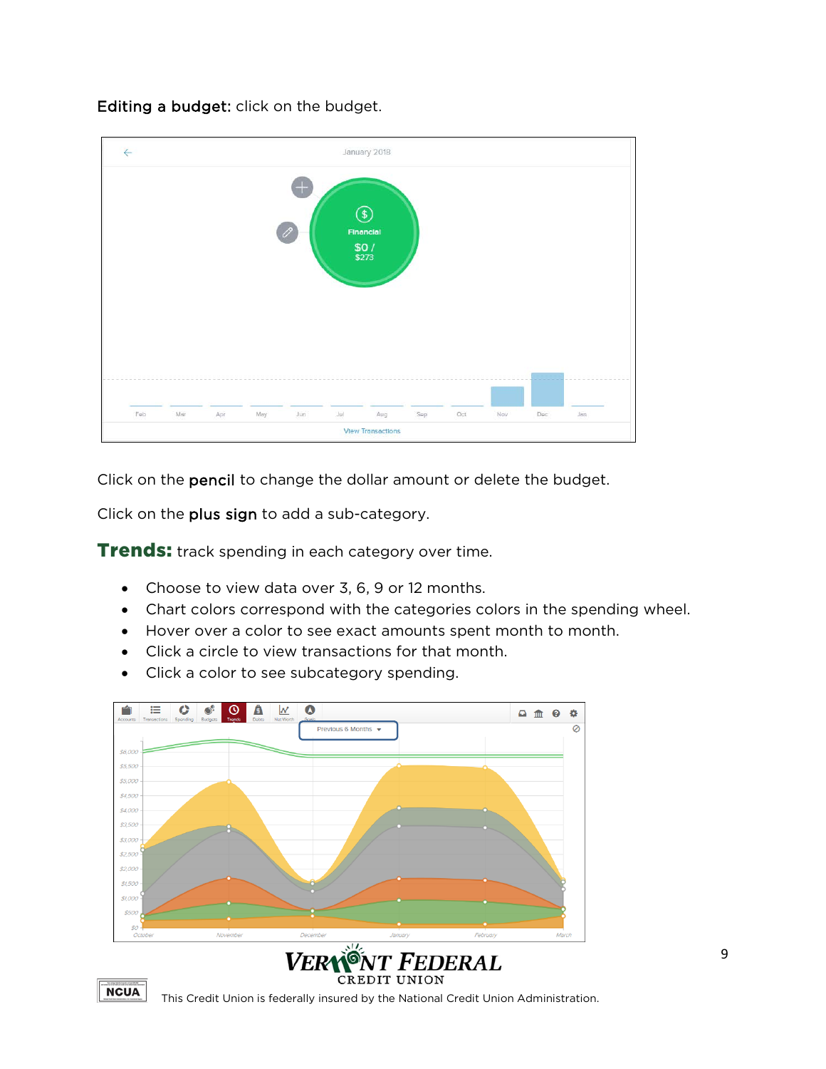Editing a budget: click on the budget.

| $\leftarrow$                                                                  |                                                                                                                     |  |  |  | January 2018 |  |  |  |  |  |  |
|-------------------------------------------------------------------------------|---------------------------------------------------------------------------------------------------------------------|--|--|--|--------------|--|--|--|--|--|--|
| $\bigoplus$<br>$\circledast$<br>$\mathscr{O}$<br>Financial<br>$$0/$<br>$$273$ |                                                                                                                     |  |  |  |              |  |  |  |  |  |  |
|                                                                               |                                                                                                                     |  |  |  |              |  |  |  |  |  |  |
|                                                                               | <b>Jul</b><br>Feb<br>Mar<br>Aug<br>Oct<br>May<br>Jun<br>Nav<br>Dec<br>Jan<br>Apr<br>Sep<br><b>View Transactions</b> |  |  |  |              |  |  |  |  |  |  |

Click on the pencil to change the dollar amount or delete the budget.

Click on the plus sign to add a sub-category.

**Trends:** track spending in each category over time.

- Choose to view data over 3, 6, 9 or 12 months.
- Chart colors correspond with the categories colors in the spending wheel.
- Hover over a color to see exact amounts spent month to month.
- Click a circle to view transactions for that month.
- Click a color to see subcategory spending.





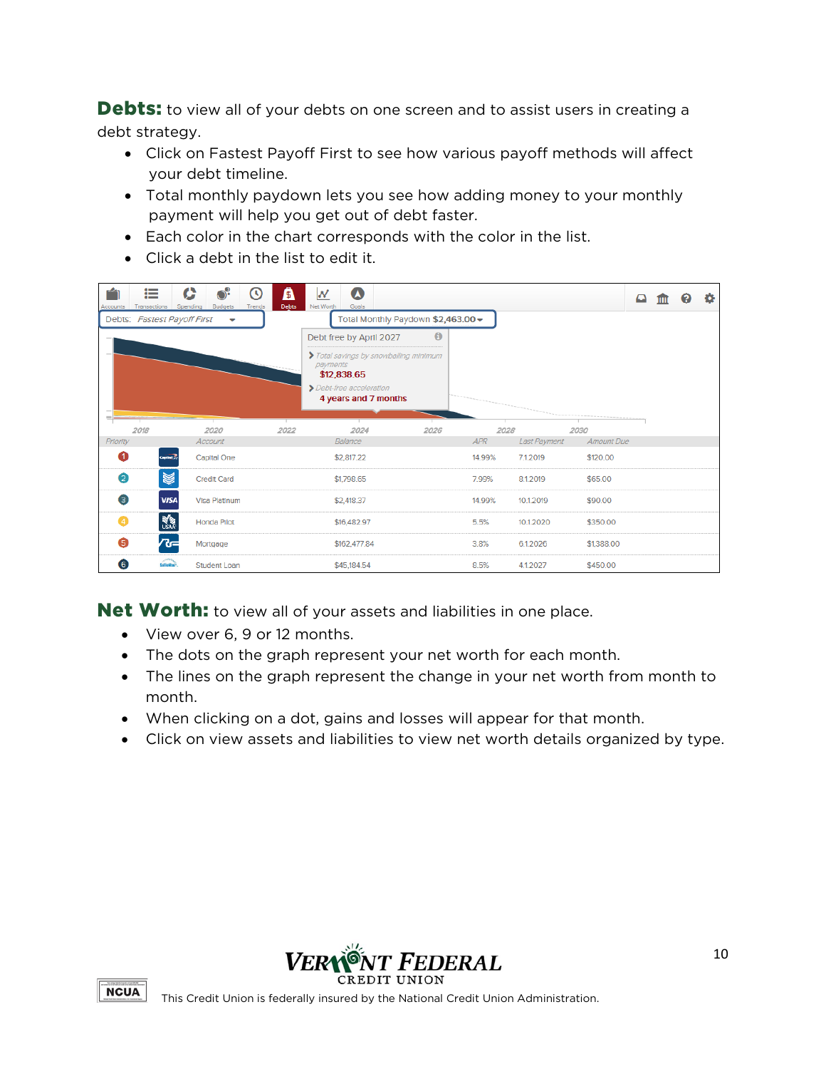Debts: to view all of your debts on one screen and to assist users in creating a debt strategy.

- Click on Fastest Payoff First to see how various payoff methods will affect your debt timeline.
- Total monthly paydown lets you see how adding money to your monthly payment will help you get out of debt faster.
- Each color in the chart corresponds with the color in the list.
- Click a debt in the list to edit it.

| 這<br><b>Budgets</b><br>Transactions<br>Spending<br>Accounts | A<br>ω<br>Debts<br>Trends | $\boldsymbol{\Omega}$<br>W<br>Net Worth<br>Goals                |      |        |              |            | ≏ | Q | ۰ |
|-------------------------------------------------------------|---------------------------|-----------------------------------------------------------------|------|--------|--------------|------------|---|---|---|
| Debts: Fastest Payoff First<br>$\overline{\phantom{a}}$     |                           | Total Monthly Paydown \$2,463.00 -                              |      |        |              |            |   |   |   |
|                                                             |                           | Debt free by April 2027                                         | Θ    |        |              |            |   |   |   |
|                                                             |                           | Total savings by snowballing minimum<br>payments<br>\$12,838.65 |      |        |              |            |   |   |   |
|                                                             |                           | > Debt-free acceleration<br>4 years and 7 months                |      |        |              |            |   |   |   |
| 2018<br>2020                                                | 2022                      | 2024                                                            | 2026 |        | 2028         | 2030       |   |   |   |
| Priority<br>Account                                         |                           | Balance                                                         |      | APR    | Last Payment | Amount Due |   |   |   |
| Capital()<br><b>Capital One</b>                             |                           | \$2,817.22                                                      |      | 14.99% | 7.1.2019     | \$120.00   |   |   |   |
| $\bullet$<br>¥<br><b>Credit Card</b>                        |                           | \$1,798.65                                                      |      | 7.99%  | 8.1.2019     | \$65,00    |   |   |   |
| 3<br><b>VISA</b><br><b>Visa Platinum</b>                    |                           | \$2,418.37                                                      |      | 14.99% | 10.1.2019    | \$90.00    |   |   |   |
| <b>AND</b><br>$\bullet$<br><b>Honda Pilot</b>               |                           | \$16,482.97                                                     |      | 5.5%   | 10.1.2020    | \$350.00   |   |   |   |
| ペー<br>6<br>Mortgage                                         |                           | \$162,477.84                                                    |      | 3.8%   | 6.1.2026     | \$1,388.00 |   |   |   |
| $\bullet$<br><b>SalleNam</b><br><b>Student Loan</b>         |                           | \$45,184.54                                                     |      | 8.5%   | 4.1.2027     | \$450.00   |   |   |   |

Net Worth: to view all of your assets and liabilities in one place.

- View over 6, 9 or 12 months.
- The dots on the graph represent your net worth for each month.
- The lines on the graph represent the change in your net worth from month to month.
- When clicking on a dot, gains and losses will appear for that month.
- Click on view assets and liabilities to view net worth details organized by type.



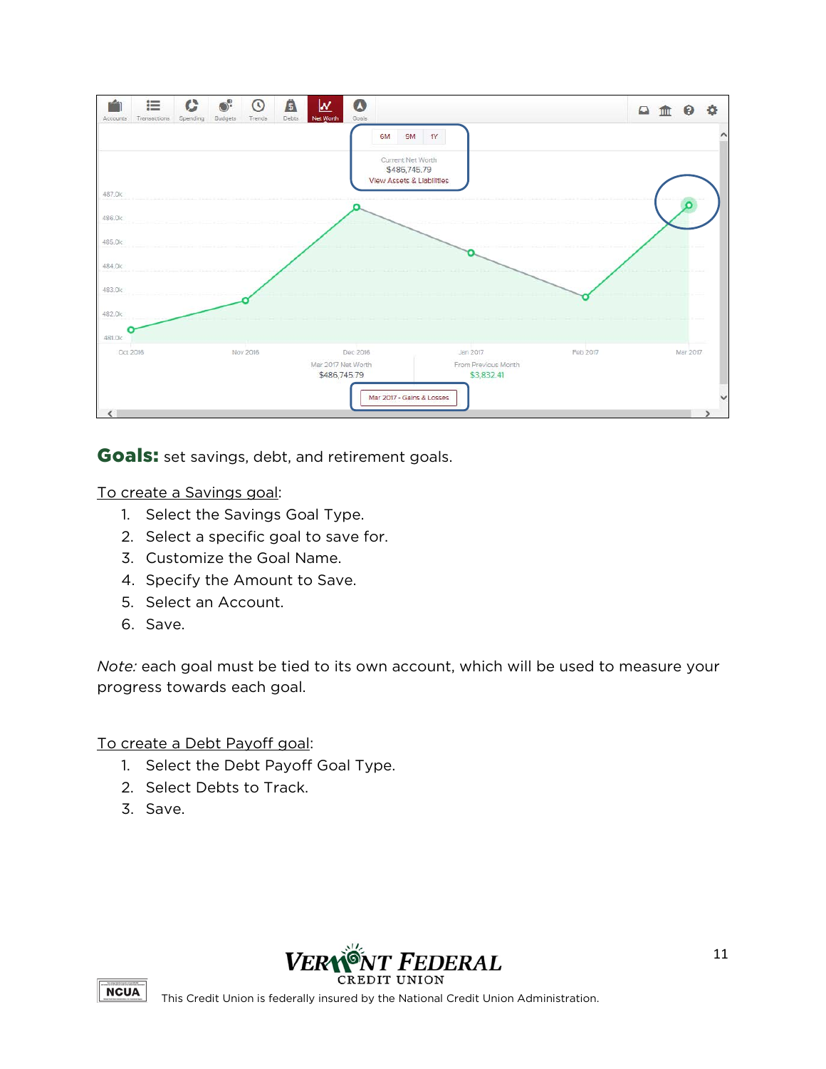

Goals: set savings, debt, and retirement goals.

To create a Savings goal:

- 1. Select the Savings Goal Type.
- 2. Select a specific goal to save for.
- 3. Customize the Goal Name.
- 4. Specify the Amount to Save.
- 5. Select an Account.
- 6. Save.

*Note:* each goal must be tied to its own account, which will be used to measure your progress towards each goal.

To create a Debt Payoff goal:

- 1. Select the Debt Payoff Goal Type.
- 2. Select Debts to Track.
- 3. Save.



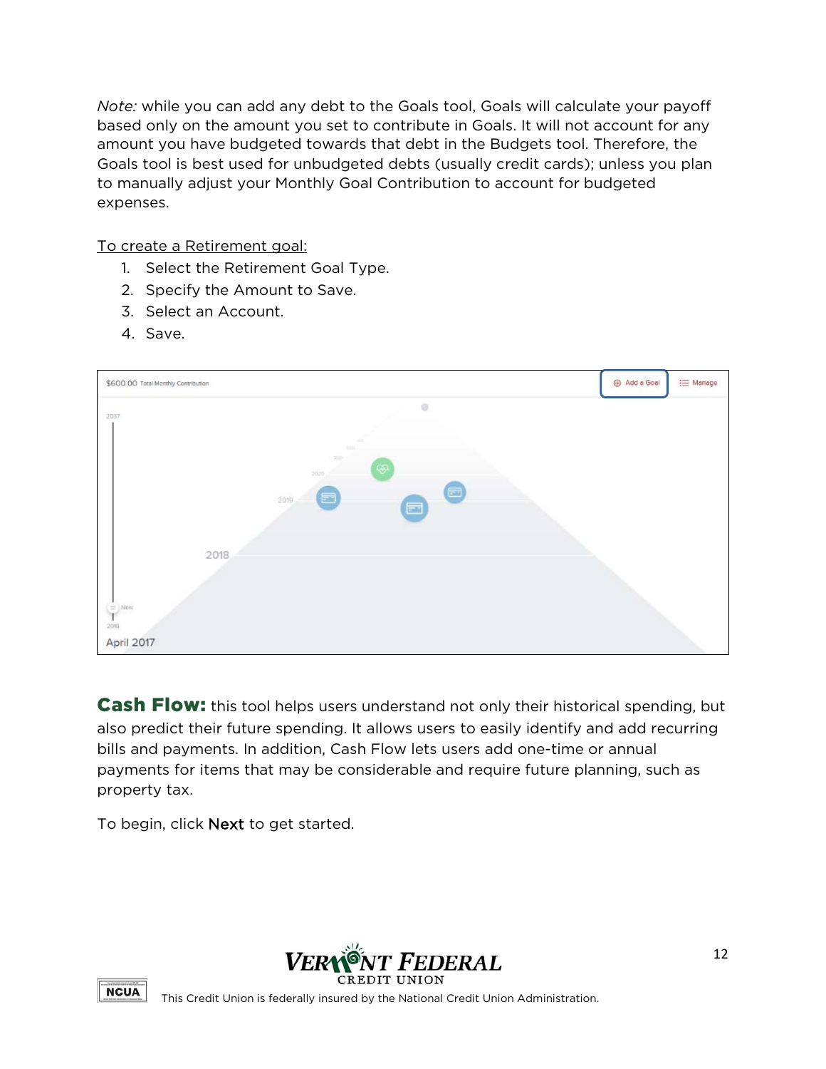*Note:* while you can add any debt to the Goals tool, Goals will calculate your payoff based only on the amount you set to contribute in Goals. It will not account for any amount you have budgeted towards that debt in the Budgets tool. Therefore, the Goals tool is best used for unbudgeted debts (usually credit cards); unless you plan to manually adjust your Monthly Goal Contribution to account for budgeted expenses.

To create a Retirement goal:

- 1. Select the Retirement Goal Type.
- 2. Specify the Amount to Save.
- 3. Select an Account.
- 4. Save.



**Cash Flow:** this tool helps users understand not only their historical spending, but also predict their future spending. It allows users to easily identify and add recurring bills and payments. In addition, Cash Flow lets users add one-time or annual payments for items that may be considerable and require future planning, such as property tax.

To begin, click Next to get started.